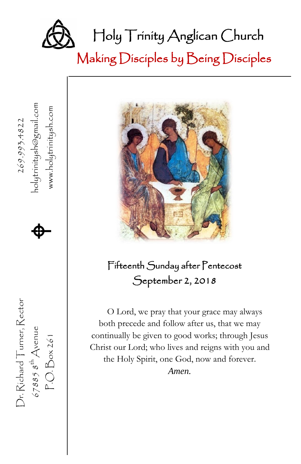

Making Disciples by Being Disciples





### Fifteenth Sunday after Pentecost September 2, 2018

O Lord, we pray that your grace may always both precede and follow after us, that we may continually be given to good works; through Jesus Christ our Lord; who lives and reigns with you and the Holy Spirit, one God, now and forever. *Amen.*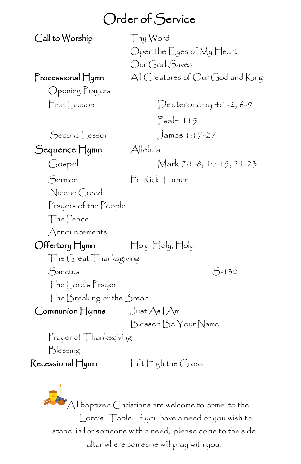## Order of Service

Call to Worship Thy Word

 Open the Eyes of My Heart Our God Saves Processional Hymn All Creatures of Our God and King

Opening Prayers

First Lesson Deuteronomy 4:1-2, 6-9

Psalm 115

Second Lesson James 1:17-27

Sequence Hymn Alleluía

Gospel Mark 7:1-8, 14-15, 21-23

Sermon Fr. Rick Turner

Nicene Creed

Prayers of the People

The Peace

Announcements

 Offertory Hymn Holy, Holy, Holy The Great Thanksgiving

Sanctus S-130

The Lord's Prayer

The Breaking of the Bread

Communion  $\Box$ ust As | Am

Blessed Be Your Name

Prayer of Thanksgiving

Blessing

Recessional Hymn Lift High the Cross

 $^{\bullet}$ All baptized Christians are welcome to come to the Lord's Table. If you have a need or you wish to stand in for someone with a need, please come to the side altar where someone will pray with you.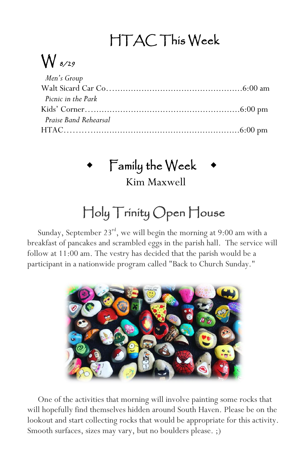# HTAC This Week

# $\bigvee$  8/29

| Men's Group           |  |
|-----------------------|--|
|                       |  |
| Picnic in the Park    |  |
|                       |  |
| Praise Band Rehearsal |  |
|                       |  |

## Family the Week

Kim Maxwell

# Holy Trinity Open House

Sunday, September 23<sup>rd</sup>, we will begin the morning at 9:00 am with a breakfast of pancakes and scrambled eggs in the parish hall. The service will follow at 11:00 am. The vestry has decided that the parish would be a participant in a nationwide program called "Back to Church Sunday."



 One of the activities that morning will involve painting some rocks that will hopefully find themselves hidden around South Haven. Please be on the lookout and start collecting rocks that would be appropriate for this activity. Smooth surfaces, sizes may vary, but no boulders please. ;)